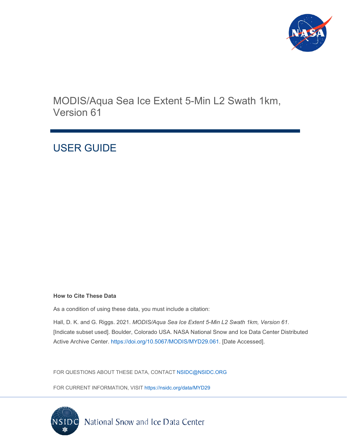

MODIS/Aqua Sea Ice Extent 5-Min L2 Swath 1km, Version 61

## USER GUIDE

#### **How to Cite These Data**

As a condition of using these data, you must include a citation:

Hall, D. K. and G. Riggs. 2021. *MODIS/Aqua Sea Ice Extent 5-Min L2 Swath 1km, Version 61*. [Indicate subset used]. Boulder, Colorado USA. NASA National Snow and Ice Data Center Distributed Active Archive Center. [https://doi.org/10.5067/MODIS/MYD29.061.](https://doi.org/10.5067/MODIS/MOD29.061) [Date Accessed].

FOR QUESTIONS ABOUT THESE DATA, CONTACT [NSIDC@NSIDC.ORG](mailto:nsidc@nsidc.org)

FOR CURRENT INFORMATION, VISIT [https://nsidc.org/data/MYD29](https://nsidc.org/data/MOD29)

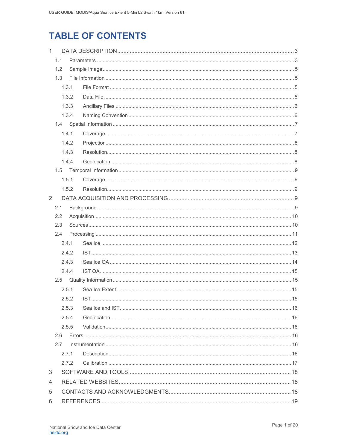## **TABLE OF CONTENTS**

| $\mathbf{1}$ |       |       |  |  |  |
|--------------|-------|-------|--|--|--|
|              | 1.1   |       |  |  |  |
|              | 1.2   |       |  |  |  |
|              | 1.3   |       |  |  |  |
|              |       | 1.3.1 |  |  |  |
|              |       | 1.3.2 |  |  |  |
|              |       | 1.3.3 |  |  |  |
|              |       | 1.3.4 |  |  |  |
|              |       |       |  |  |  |
|              |       | 1.4.1 |  |  |  |
|              |       | 1.4.2 |  |  |  |
|              |       | 1.4.3 |  |  |  |
|              |       | 1.4.4 |  |  |  |
|              | 1.5   |       |  |  |  |
|              |       | 1.5.1 |  |  |  |
|              |       | 1.5.2 |  |  |  |
| 2            |       |       |  |  |  |
|              | 2.1   |       |  |  |  |
|              | 2.2   |       |  |  |  |
|              | 2.3   |       |  |  |  |
|              | 2.4   |       |  |  |  |
|              |       | 2.4.1 |  |  |  |
|              |       | 2.4.2 |  |  |  |
|              |       | 2.4.3 |  |  |  |
|              |       | 2.4.4 |  |  |  |
|              | 2.5   |       |  |  |  |
|              |       | 2.5.1 |  |  |  |
|              | 2.5.2 |       |  |  |  |
|              |       | 2.5.3 |  |  |  |
|              | 2.5.4 |       |  |  |  |
|              |       | 2.5.5 |  |  |  |
|              | 2.6   |       |  |  |  |
|              | 2.7   |       |  |  |  |
|              |       | 2.7.1 |  |  |  |
|              |       | 2.7.2 |  |  |  |
| 3            |       |       |  |  |  |
| 4            |       |       |  |  |  |
| 5            |       |       |  |  |  |
| 6            |       |       |  |  |  |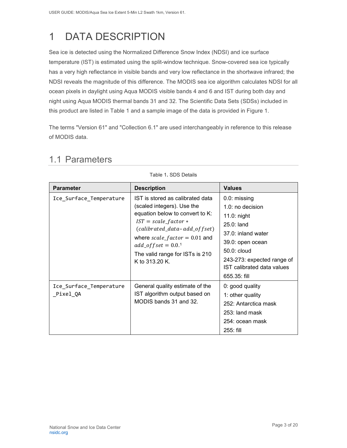# <span id="page-3-0"></span>1 DATA DESCRIPTION

Sea ice is detected using the Normalized Difference Snow Index (NDSI) and ice surface temperature (IST) is estimated using the split-window technique. Snow-covered sea ice typically has a very high reflectance in visible bands and very low reflectance in the shortwave infrared; the NDSI reveals the magnitude of this difference. The MODIS sea ice algorithm calculates NDSI for all ocean pixels in daylight using Aqua MODIS visible bands 4 and 6 and IST during both day and night using Aqua MODIS thermal bands 31 and 32. The Scientific Data Sets (SDSs) included in this product are listed in Table 1 and a sample image of the data is provided in Figure 1.

The terms "Version 61" and "Collection 6.1" are used interchangeably in reference to this release of MODIS data.

| <b>Parameter</b>                     | <b>Description</b>                                                                                                                                                                                                                                                                      | <b>Values</b>                                                                                                                                                                                                |
|--------------------------------------|-----------------------------------------------------------------------------------------------------------------------------------------------------------------------------------------------------------------------------------------------------------------------------------------|--------------------------------------------------------------------------------------------------------------------------------------------------------------------------------------------------------------|
| Ice_Surface_Temperature              | IST is stored as calibrated data<br>(scaled integers). Use the<br>equation below to convert to K:<br>$IST = scale_factor *$<br>(calibrated_data-add_offset)<br>where $scale_factor = 0.01$ and<br>$add\_offset = 0.0$ <sup>1</sup><br>The valid range for ISTs is 210<br>K to 313.20 K. | $0.0:$ missing<br>$1.0:$ no decision<br>$11.0:$ night<br>$25.0:$ land<br>37.0: inland water<br>39.0: open ocean<br>$50.0:$ cloud<br>243-273: expected range of<br>IST calibrated data values<br>655.35: fill |
| Ice_Surface_Temperature<br>_Pixel_QA | General quality estimate of the<br>IST algorithm output based on<br>MODIS bands 31 and 32.                                                                                                                                                                                              | 0: good quality<br>1: other quality<br>252: Antarctica mask<br>253: land mask<br>254: ocean mask<br>$255:$ fill                                                                                              |

### <span id="page-3-1"></span>1.1 Parameters

Table 1**.** SDS Details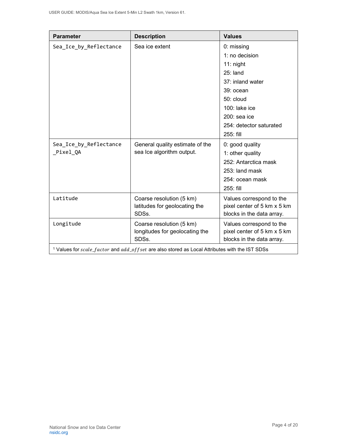| <b>Parameter</b>                                                                                           | <b>Description</b>                                                  | <b>Values</b>                                                                        |
|------------------------------------------------------------------------------------------------------------|---------------------------------------------------------------------|--------------------------------------------------------------------------------------|
| Sea_Ice_by_Reflectance                                                                                     | Sea ice extent                                                      | 0: missing                                                                           |
|                                                                                                            |                                                                     | 1: no decision                                                                       |
|                                                                                                            |                                                                     | $11:$ night                                                                          |
|                                                                                                            |                                                                     | $25:$ land                                                                           |
|                                                                                                            |                                                                     | 37: inland water                                                                     |
|                                                                                                            |                                                                     | 39: ocean                                                                            |
|                                                                                                            |                                                                     | $50:$ cloud                                                                          |
|                                                                                                            |                                                                     | $100$ : lake ice                                                                     |
|                                                                                                            |                                                                     | $200:$ sea ice                                                                       |
|                                                                                                            |                                                                     | 254: detector saturated                                                              |
|                                                                                                            |                                                                     | 255: fill                                                                            |
| Sea_Ice_by_Reflectance                                                                                     | General quality estimate of the<br>sea Ice algorithm output.        | 0: good quality                                                                      |
| Pixel QA                                                                                                   |                                                                     | 1: other quality                                                                     |
|                                                                                                            |                                                                     | 252: Antarctica mask                                                                 |
|                                                                                                            |                                                                     | 253: land mask                                                                       |
|                                                                                                            |                                                                     | 254: ocean mask                                                                      |
|                                                                                                            |                                                                     | 255: fill                                                                            |
| Latitude                                                                                                   | Coarse resolution (5 km)<br>latitudes for geolocating the<br>SDSs.  | Values correspond to the<br>pixel center of 5 km x 5 km<br>blocks in the data array. |
| Longitude                                                                                                  | Coarse resolution (5 km)<br>longitudes for geolocating the<br>SDSs. | Values correspond to the<br>pixel center of 5 km x 5 km<br>blocks in the data array. |
| <sup>1</sup> Values for scale_factor and add_of fset are also stored as Local Attributes with the IST SDSs |                                                                     |                                                                                      |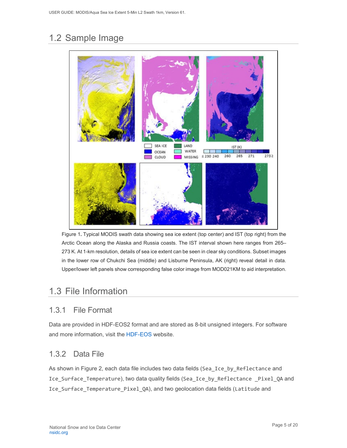## <span id="page-5-0"></span>1.2 Sample Image



Figure 1**.** Typical MODIS swath data showing sea ice extent (top center) and IST (top right) from the Arctic Ocean along the Alaska and Russia coasts. The IST interval shown here ranges from 265– 273 K. At 1-km resolution, details of sea ice extent can be seen in clear sky conditions. Subset images in the lower row of Chukchi Sea (middle) and Lisburne Peninsula, AK (right) reveal detail in data. Upper/lower left panels show corresponding false color image from MOD021KM to aid interpretation.

## <span id="page-5-1"></span>1.3 File Information

### <span id="page-5-2"></span>1.3.1 File Format

Data are provided in HDF-EOS2 format and are stored as 8-bit unsigned integers. For software and more information, visit the [HDF-EOS](https://portal.hdfgroup.org/display/support) website.

### <span id="page-5-3"></span>1.3.2 Data File

As shown in Figure 2, each data file includes two data fields (Sea\_Ice\_by\_Reflectance and Ice Surface Temperature), two data quality fields (Sea Ice by Reflectance Pixel QA and Ice\_Surface\_Temperature\_Pixel\_QA), and two geolocation data fields (Latitude and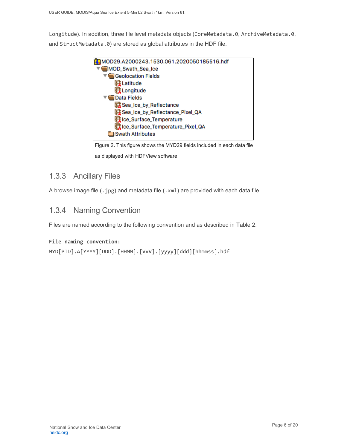Longitude). In addition, three file level metadata objects (CoreMetadata.0, ArchiveMetadata.0, and StructMetadata.0) are stored as global attributes in the HDF file.



Figure 2**.** This figure shows the MYD29 fields included in each data file as displayed with HDFView software.

#### <span id="page-6-0"></span>1.3.3 Ancillary Files

A browse image file (.jpg) and metadata file (.xml) are provided with each data file.

#### <span id="page-6-1"></span>1.3.4 Naming Convention

Files are named according to the following convention and as described in Table 2.

#### **File naming convention:**

```
MYD[PID].A[YYYY][DDD].[HHMM].[VVV].[yyyy][ddd][hhmmss].hdf
```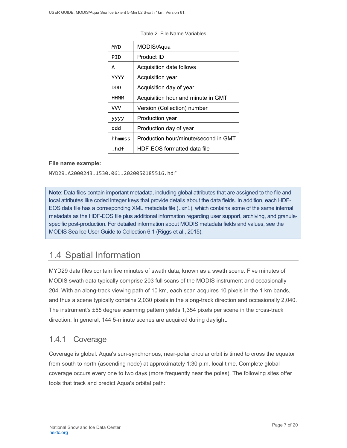| MYD         | MODIS/Aqua                           |
|-------------|--------------------------------------|
| PTD         | Product ID                           |
| A           | Acquisition date follows             |
| YYYY        | Acquisition year                     |
| חממ         | Acquisition day of year              |
| <b>HHMM</b> | Acquisition hour and minute in GMT   |
| VVV         | Version (Collection) number          |
| уууу        | Production year                      |
| hbb         | Production day of year               |
| hhmmss      | Production hour/minute/second in GMT |
| .hdf        | HDF-EOS formatted data file          |

Table 2. File Name Variables

#### **File name example:**

MYD29.A2000243.1530.061.2020050185516.hdf

**Note**: Data files contain important metadata, including global attributes that are assigned to the file and local attributes like coded integer keys that provide details about the data fields. In addition, each HDF-EOS data file has a corresponding XML metadata file (.xml), which contains some of the same internal metadata as the HDF-EOS file plus additional information regarding user support, archiving, and granulespecific post-production. For detailed information about MODIS metadata fields and values, see the MODIS Sea Ice User Guide to Collection 6.1 (Riggs et al., 2015).

### <span id="page-7-0"></span>1.4 Spatial Information

MYD29 data files contain five minutes of swath data, known as a swath scene. Five minutes of MODIS swath data typically comprise 203 full scans of the MODIS instrument and occasionally 204. With an along-track viewing path of 10 km, each scan acquires 10 pixels in the 1 km bands, and thus a scene typically contains 2,030 pixels in the along-track direction and occasionally 2,040. The instrument's ±55 degree scanning pattern yields 1,354 pixels per scene in the cross-track direction. In general, 144 5-minute scenes are acquired during daylight.

#### <span id="page-7-1"></span>1.4.1 Coverage

Coverage is global. Aqua's sun-synchronous, near-polar circular orbit is timed to cross the equator from south to north (ascending node) at approximately 1:30 p.m. local time. Complete global coverage occurs every one to two days (more frequently near the poles). The following sites offer tools that track and predict Aqua's orbital path: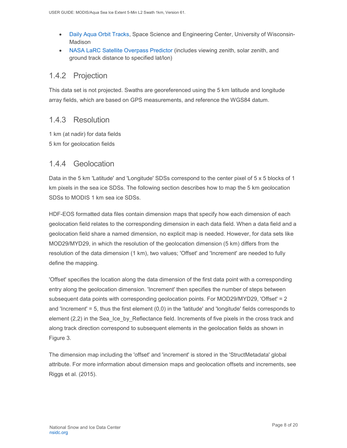- [Daily Aqua Orbit Tracks,](http://www.ssec.wisc.edu/datacenter/aqua/GLOBAL.html) Space Science and Engineering Center, University of Wisconsin-Madison
- [NASA LaRC Satellite Overpass Predictor](https://cloudsgate2.larc.nasa.gov/cgi-bin/predict/predict.cgi) (includes viewing zenith, solar zenith, and ground track distance to specified lat/lon)

#### <span id="page-8-0"></span>1.4.2 Projection

This data set is not projected. Swaths are georeferenced using the 5 km latitude and longitude array fields, which are based on GPS measurements, and reference the WGS84 datum.

#### <span id="page-8-1"></span>1.4.3 Resolution

1 km (at nadir) for data fields 5 km for geolocation fields

#### <span id="page-8-2"></span>1.4.4 Geolocation

Data in the 5 km 'Latitude' and 'Longitude' SDSs correspond to the center pixel of 5 x 5 blocks of 1 km pixels in the sea ice SDSs. The following section describes how to map the 5 km geolocation SDSs to MODIS 1 km sea ice SDSs.

HDF-EOS formatted data files contain dimension maps that specify how each dimension of each geolocation field relates to the corresponding dimension in each data field. When a data field and a geolocation field share a named dimension, no explicit map is needed. However, for data sets like MOD29/MYD29, in which the resolution of the geolocation dimension (5 km) differs from the resolution of the data dimension (1 km), two values; 'Offset' and 'Increment' are needed to fully define the mapping.

'Offset' specifies the location along the data dimension of the first data point with a corresponding entry along the geolocation dimension. 'Increment' then specifies the number of steps between subsequent data points with corresponding geolocation points. For MOD29/MYD29, 'Offset' = 2 and 'Increment'  $= 5$ , thus the first element  $(0,0)$  in the 'latitude' and 'longitude' fields corresponds to element (2,2) in the Sea Ice by Reflectance field. Increments of five pixels in the cross track and along track direction correspond to subsequent elements in the geolocation fields as shown in Figure 3.

The dimension map including the 'offset' and 'increment' is stored in the 'StructMetadata' global attribute. For more information about dimension maps and geolocation offsets and increments, see Riggs et al. (2015).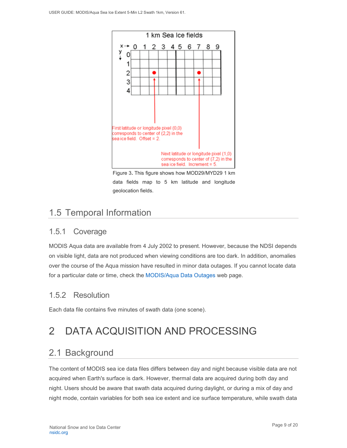

Figure 3**.** This figure shows how MOD29/MYD29 1 km data fields map to 5 km latitude and longitude geolocation fields.

## <span id="page-9-0"></span>1.5 Temporal Information

### <span id="page-9-1"></span>1.5.1 Coverage

MODIS Aqua data are available from 4 July 2002 to present. However, because the NDSI depends on visible light, data are not produced when viewing conditions are too dark. In addition, anomalies over the course of the Aqua mission have resulted in minor data outages. If you cannot locate data for a particular date or time, check the [MODIS/Aqua Data Outages](http://modaps.nascom.nasa.gov/services/production/outages_aqua.html) web page.

### <span id="page-9-2"></span>1.5.2 Resolution

Each data file contains five minutes of swath data (one scene).

# <span id="page-9-3"></span>2 DATA ACQUISITION AND PROCESSING

## <span id="page-9-4"></span>2.1 Background

The content of MODIS sea ice data files differs between day and night because visible data are not acquired when Earth's surface is dark. However, thermal data are acquired during both day and night. Users should be aware that swath data acquired during daylight, or during a mix of day and night mode, contain variables for both sea ice extent and ice surface temperature, while swath data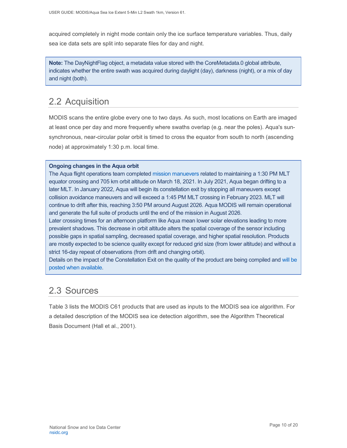acquired completely in night mode contain only the ice surface temperature variables. Thus, daily sea ice data sets are split into separate files for day and night.

**Note:** The DayNightFlag object, a metadata value stored with the CoreMetadata.0 global attribute, indicates whether the entire swath was acquired during daylight (day), darkness (night), or a mix of day and night (both).

## <span id="page-10-0"></span>2.2 Acquisition

MODIS scans the entire globe every one to two days. As such, most locations on Earth are imaged at least once per day and more frequently where swaths overlap (e.g. near the poles). Aqua's sunsynchronous, near-circular polar orbit is timed to cross the equator from south to north (ascending node) at approximately 1:30 p.m. local time.

#### **Ongoing changes in the Aqua orbit**

The Aqua flight operations team completed [mission manuevers](https://modis.gsfc.nasa.gov/news/individual.php?news_id=100389) related to maintaining a 1:30 PM MLT equator crossing and 705 km orbit altitude on March 18, 2021. In July 2021, Aqua began drifting to a later MLT. In January 2022, Aqua will begin its constellation exit by stopping all maneuvers except collision avoidance maneuvers and will exceed a 1:45 PM MLT crossing in February 2023. MLT will continue to drift after this, reaching 3:50 PM around August 2026. Aqua MODIS will remain operational and generate the full suite of products until the end of the mission in August 2026.

Later crossing times for an afternoon platform like Aqua mean lower solar elevations leading to more prevalent shadows. This decrease in orbit altitude alters the spatial coverage of the sensor including possible gaps in spatial sampling, decreased spatial coverage, and higher spatial resolution. Products are mostly expected to be science quality except for reduced grid size (from lower altitude) and without a strict 16-day repeat of observations (from drift and changing orbit).

Details on the impact of the Constellation Exit on the quality of the product are being compiled and [will be](https://landweb.modaps.eosdis.nasa.gov/cgi-bin/QS/new/index.cgi)  posted [when available.](https://landweb.modaps.eosdis.nasa.gov/cgi-bin/QS/new/index.cgi)

### <span id="page-10-1"></span>2.3 Sources

Table 3 lists the MODIS C61 products that are used as inputs to the MODIS sea ice algorithm. For a detailed description of the MODIS sea ice detection algorithm, see the Algorithm Theoretical Basis Document (Hall et al., 2001).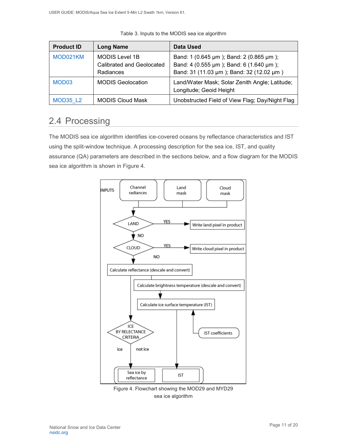| <b>Product ID</b> | <b>Long Name</b>                                                | Data Used                                                                                                                      |
|-------------------|-----------------------------------------------------------------|--------------------------------------------------------------------------------------------------------------------------------|
| MOD021KM          | <b>MODIS Level 1B</b><br>Calibrated and Geolocated<br>Radiances | Band: 1 (0.645 µm); Band: 2 (0.865 µm);<br>Band: 4 (0.555 µm); Band: 6 (1.640 µm);<br>Band: 31 (11.03 µm); Band: 32 (12.02 µm) |
| MOD <sub>03</sub> | <b>MODIS Geolocation</b>                                        | Land/Water Mask; Solar Zenith Angle; Latitude;<br>Longitude; Geoid Height                                                      |
| <b>MOD35 L2</b>   | <b>MODIS Cloud Mask</b>                                         | Unobstructed Field of View Flag; Day/Night Flag                                                                                |

Table 3. Inputs to the MODIS sea ice algorithm

### <span id="page-11-0"></span>2.4 Processing

The MODIS sea ice algorithm identifies ice-covered oceans by reflectance characteristics and IST using the split-window technique. A processing description for the sea ice, IST, and quality assurance (QA) parameters are described in the sections below, and a flow diagram for the MODIS sea ice algorithm is shown in Figure 4.



Figure 4. Flowchart showing the MOD29 and MYD29 sea ice algorithm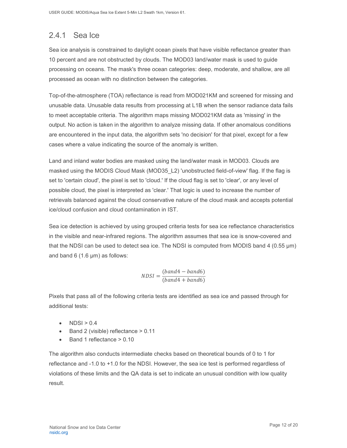### <span id="page-12-0"></span>2.4.1 Sea Ice

Sea ice analysis is constrained to daylight ocean pixels that have visible reflectance greater than 10 percent and are not obstructed by clouds. The MOD03 land/water mask is used to guide processing on oceans. The mask's three ocean categories: deep, moderate, and shallow, are all processed as ocean with no distinction between the categories.

Top-of-the-atmosphere (TOA) reflectance is read from MOD021KM and screened for missing and unusable data. Unusable data results from processing at L1B when the sensor radiance data fails to meet acceptable criteria. The algorithm maps missing MOD021KM data as 'missing' in the output. No action is taken in the algorithm to analyze missing data. If other anomalous conditions are encountered in the input data, the algorithm sets 'no decision' for that pixel, except for a few cases where a value indicating the source of the anomaly is written.

Land and inland water bodies are masked using the land/water mask in MOD03. Clouds are masked using the MODIS Cloud Mask (MOD35\_L2) 'unobstructed field-of-view' flag. If the flag is set to 'certain cloud', the pixel is set to 'cloud.' If the cloud flag is set to 'clear', or any level of possible cloud, the pixel is interpreted as 'clear.' That logic is used to increase the number of retrievals balanced against the cloud conservative nature of the cloud mask and accepts potential ice/cloud confusion and cloud contamination in IST.

Sea ice detection is achieved by using grouped criteria tests for sea ice reflectance characteristics in the visible and near-infrared regions. The algorithm assumes that sea ice is snow-covered and that the NDSI can be used to detect sea ice. The NDSI is computed from MODIS band 4 (0.55  $\mu$ m) and band 6 (1.6 µm) as follows:

$$
NDSI = \frac{(band4 - band6)}{(band4 + band6)}
$$

Pixels that pass all of the following criteria tests are identified as sea ice and passed through for additional tests:

- $NDSI > 0.4$
- Band 2 (visible) reflectance > 0.11
- Band 1 reflectance > 0.10

The algorithm also conducts intermediate checks based on theoretical bounds of 0 to 1 for reflectance and -1.0 to +1.0 for the NDSI. However, the sea ice test is performed regardless of violations of these limits and the QA data is set to indicate an unusual condition with low quality result.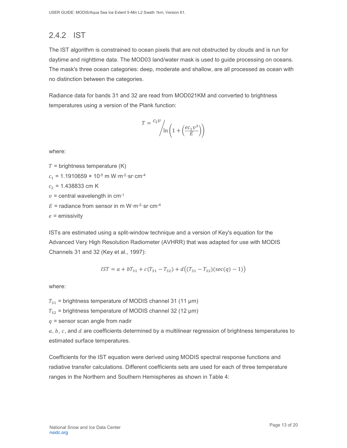### <span id="page-13-0"></span>2.4.2 IST

The IST algorithm is constrained to ocean pixels that are not obstructed by clouds and is run for daytime and nighttime data. The MOD03 land/water mask is used to guide processing on oceans. The mask's three ocean categories: deep, moderate and shallow, are all processed as ocean with no distinction between the categories.

Radiance data for bands 31 and 32 are read from MOD021KM and converted to brightness temperatures using a version of the Plank function:

$$
T = \frac{c_2 v}{\ln\left(1 + \left(\frac{e c_1 v^3}{E}\right)\right)}
$$

where:

 $T =$  brightness temperature (K)

 $c_1$  = 1.1910659 × 10<sup>-5</sup> m W·m<sup>-2</sup>·sr·cm<sup>-4</sup>

 $c_2$  = 1.438833 cm K

 $v =$  central wavelength in cm<sup>-1</sup>

 $E =$  radiance from sensor in m W·m<sup>-2</sup>·sr·cm<sup>-4</sup>

 $e =$  emissivity

ISTs are estimated using a split-window technique and a version of Key's equation for the Advanced Very High Resolution Radiometer (AVHRR) that was adapted for use with MODIS Channels 31 and 32 (Key et al., 1997):

$$
IST = a + bT_{31} + c(T_{31} - T_{32}) + d((T_{31} - T_{32})(\sec(q) - 1))
$$

where:

 $T_{31}$  = brightness temperature of MODIS channel 31 (11 µm)

 $T_{32}$  = brightness temperature of MODIS channel 32 (12 µm)

 $q$  = sensor scan angle from nadir

 $a, b, c$ , and  $d$  are coefficients determined by a multilinear regression of brightness temperatures to estimated surface temperatures.

Coefficients for the IST equation were derived using MODIS spectral response functions and radiative transfer calculations. Different coefficients sets are used for each of three temperature ranges in the Northern and Southern Hemispheres as shown in Table 4: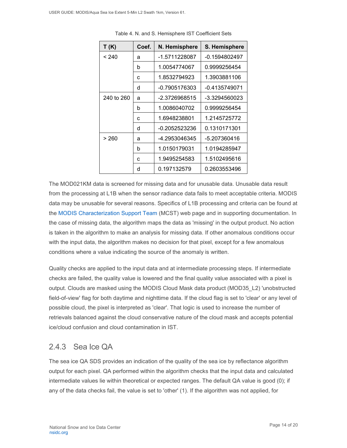| T(K)       | Coef. | N. Hemisphere | S. Hemisphere |
|------------|-------|---------------|---------------|
| < 240      | a     | -1.5711228087 | -0.1594802497 |
|            | b     | 1.0054774067  | 0.9999256454  |
|            | C     | 1.8532794923  | 1.3903881106  |
|            | d     | -0.7905176303 | -0.4135749071 |
| 240 to 260 | a     | -2.3726968515 | -3.3294560023 |
|            | b     | 1.0086040702  | 0.9999256454  |
|            | c     | 1.6948238801  | 1.2145725772  |
|            | d     | -0.2052523236 | 0.1310171301  |
| > 260      | а     | -4.2953046345 | -5.207360416  |
|            | b     | 1.0150179031  | 1.0194285947  |
|            | c     | 1.9495254583  | 1.5102495616  |
|            | d     | 0.197132579   | 0.2603553496  |

Table 4. N. and S. Hemisphere IST Coefficient Sets

The MOD021KM data is screened for missing data and for unusable data. Unusable data result from the processing at L1B when the sensor radiance data fails to meet acceptable criteria. MODIS data may be unusable for several reasons. Specifics of L1B processing and criteria can be found at the [MODIS Characterization Support Team](https://mcst.gsfc.nasa.gov/) (MCST) web page and in supporting documentation. In the case of missing data, the algorithm maps the data as 'missing' in the output product. No action is taken in the algorithm to make an analysis for missing data. If other anomalous conditions occur with the input data, the algorithm makes no decision for that pixel, except for a few anomalous conditions where a value indicating the source of the anomaly is written.

Quality checks are applied to the input data and at intermediate processing steps. If intermediate checks are failed, the quality value is lowered and the final quality value associated with a pixel is output. Clouds are masked using the MODIS Cloud Mask data product (MOD35\_L2) 'unobstructed field-of-view' flag for both daytime and nighttime data. If the cloud flag is set to 'clear' or any level of possible cloud, the pixel is interpreted as 'clear'. That logic is used to increase the number of retrievals balanced against the cloud conservative nature of the cloud mask and accepts potential ice/cloud confusion and cloud contamination in IST.

#### <span id="page-14-0"></span>2.4.3 Sea Ice QA

The sea ice QA SDS provides an indication of the quality of the sea ice by reflectance algorithm output for each pixel. QA performed within the algorithm checks that the input data and calculated intermediate values lie within theoretical or expected ranges. The default QA value is good (0); if any of the data checks fail, the value is set to 'other' (1). If the algorithm was not applied, for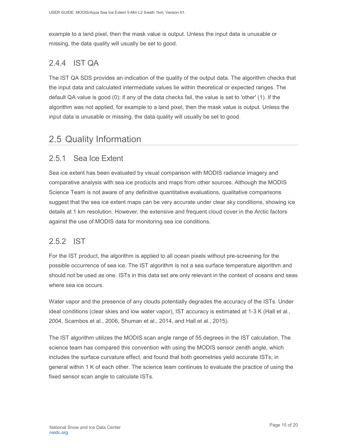example to a land pixel, then the mask value is output. Unless the input data is unusable or missing, the data quality will usually be set to good.

### <span id="page-15-0"></span>2.4.4 IST QA

The IST QA SDS provides an indication of the quality of the output data. The algorithm checks that the input data and calculated intermediate values lie within theoretical or expected ranges. The default QA value is good (0); if any of the data checks fail, the value is set to 'other' (1). If the algorithm was not applied, for example to a land pixel, then the mask value is output. Unless the input data is unusable or missing, the data quality will usually be set to good.

### <span id="page-15-1"></span>2.5 Quality Information

#### <span id="page-15-2"></span>2.5.1 Sea Ice Extent

Sea ice extent has been evaluated by visual comparison with MODIS radiance imagery and comparative analysis with sea ice products and maps from other sources. Although the MODIS Science Team is not aware of any definitive quantitative evaluations, qualitative comparisons suggest that the sea ice extent maps can be very accurate under clear sky conditions, showing ice details at 1 km resolution. However, the extensive and frequent cloud cover in the Arctic factors against the use of MODIS data for monitoring sea ice conditions.

#### <span id="page-15-3"></span>2.5.2 IST

For the IST product, the algorithm is applied to all ocean pixels without pre-screening for the possible occurrence of sea ice. The IST algorithm is not a sea surface temperature algorithm and should not be used as one. ISTs in this data set are only relevant in the context of oceans and seas where sea ice occurs.

Water vapor and the presence of any clouds potentially degrades the accuracy of the ISTs. Under ideal conditions (clear skies and low water vapor), IST accuracy is estimated at 1-3 K (Hall et al., 2004, Scambos et al., 2006, Shuman et al., 2014, and Hall et al., 2015).

The IST algorithm utilizes the MODIS scan angle range of 55 degrees in the IST calculation. The science team has compared this convention with using the MODIS sensor zenith angle, which includes the surface curvature effect, and found that both geometries yield accurate ISTs; in general within 1 K of each other. The science team continues to evaluate the practice of using the fixed sensor scan angle to calculate ISTs.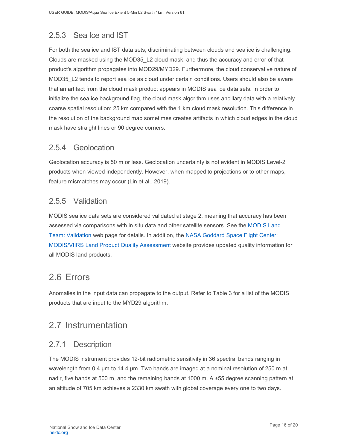### <span id="page-16-0"></span>2.5.3 Sea Ice and IST

For both the sea ice and IST data sets, discriminating between clouds and sea ice is challenging. Clouds are masked using the MOD35\_L2 cloud mask, and thus the accuracy and error of that product's algorithm propagates into MOD29/MYD29. Furthermore, the cloud conservative nature of MOD35 L2 tends to report sea ice as cloud under certain conditions. Users should also be aware that an artifact from the cloud mask product appears in MODIS sea ice data sets. In order to initialize the sea ice background flag, the cloud mask algorithm uses ancillary data with a relatively coarse spatial resolution: 25 km compared with the 1 km cloud mask resolution. This difference in the resolution of the background map sometimes creates artifacts in which cloud edges in the cloud mask have straight lines or 90 degree corners.

#### <span id="page-16-1"></span>2.5.4 Geolocation

Geolocation accuracy is 50 m or less. Geolocation uncertainty is not evident in MODIS Level-2 products when viewed independently. However, when mapped to projections or to other maps, feature mismatches may occur (Lin et al., 2019).

#### <span id="page-16-2"></span>2.5.5 Validation

MODIS sea ice data sets are considered validated at stage 2, meaning that accuracy has been assessed via comparisons with in situ data and other satellite sensors. See the [MODIS Land](https://modis-land.gsfc.nasa.gov/ValStatus.php?ProductID=MOD10/29)  [Team: Validation](https://modis-land.gsfc.nasa.gov/ValStatus.php?ProductID=MOD10/29) web page for details. In addition, the [NASA Goddard Space Flight Center:](https://landweb.modaps.eosdis.nasa.gov/)  MODIS/VIIRS [Land Product Quality Assessment](https://landweb.modaps.eosdis.nasa.gov/) website provides updated quality information for all MODIS land products.

## <span id="page-16-3"></span>2.6 Errors

Anomalies in the input data can propagate to the output. Refer to Table 3 for a list of the MODIS products that are input to the MYD29 algorithm.

### <span id="page-16-4"></span>2.7 Instrumentation

#### <span id="page-16-5"></span>2.7.1 Description

The MODIS instrument provides 12-bit radiometric sensitivity in 36 spectral bands ranging in wavelength from 0.4 µm to 14.4 µm. Two bands are imaged at a nominal resolution of 250 m at nadir, five bands at 500 m, and the remaining bands at 1000 m. A ±55 degree scanning pattern at an altitude of 705 km achieves a 2330 km swath with global coverage every one to two days.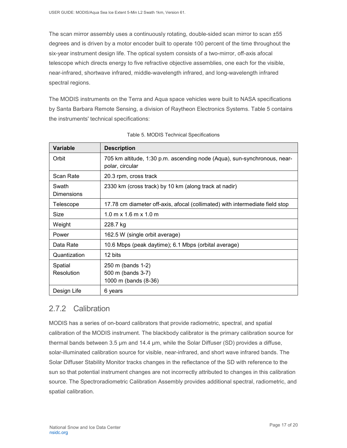The scan mirror assembly uses a continuously rotating, double-sided scan mirror to scan ±55 degrees and is driven by a motor encoder built to operate 100 percent of the time throughout the six-year instrument design life. The optical system consists of a two-mirror, off-axis afocal telescope which directs energy to five refractive objective assemblies, one each for the visible, near-infrared, shortwave infrared, middle-wavelength infrared, and long-wavelength infrared spectral regions.

The MODIS instruments on the Terra and Aqua space vehicles were built to NASA specifications by Santa Barbara Remote Sensing, a division of Raytheon Electronics Systems. Table 5 contains the instruments' technical specifications:

| Variable                   | <b>Description</b>                                                                          |
|----------------------------|---------------------------------------------------------------------------------------------|
| Orbit                      | 705 km altitude, 1:30 p.m. ascending node (Aqua), sun-synchronous, near-<br>polar, circular |
| Scan Rate                  | 20.3 rpm, cross track                                                                       |
| Swath<br><b>Dimensions</b> | 2330 km (cross track) by 10 km (along track at nadir)                                       |
| Telescope                  | 17.78 cm diameter off-axis, afocal (collimated) with intermediate field stop                |
| Size                       | $1.0 \text{ m} \times 1.6 \text{ m} \times 1.0 \text{ m}$                                   |
| Weight                     | 228.7 kg                                                                                    |
| Power                      | 162.5 W (single orbit average)                                                              |
| Data Rate                  | 10.6 Mbps (peak daytime); 6.1 Mbps (orbital average)                                        |
| Quantization               | 12 bits                                                                                     |
| Spatial<br>Resolution      | 250 m (bands 1-2)<br>500 m (bands 3-7)<br>1000 m (bands (8-36)                              |
| Design Life                | 6 years                                                                                     |

| Table 5. MODIS Technical Specifications |  |  |
|-----------------------------------------|--|--|
|-----------------------------------------|--|--|

### <span id="page-17-0"></span>2.7.2 Calibration

MODIS has a series of on-board calibrators that provide radiometric, spectral, and spatial calibration of the MODIS instrument. The blackbody calibrator is the primary calibration source for thermal bands between 3.5 µm and 14.4 µm, while the Solar Diffuser (SD) provides a diffuse, solar-illuminated calibration source for visible, near-infrared, and short wave infrared bands. The Solar Diffuser Stability Monitor tracks changes in the reflectance of the SD with reference to the sun so that potential instrument changes are not incorrectly attributed to changes in this calibration source. The Spectroradiometric Calibration Assembly provides additional spectral, radiometric, and spatial calibration.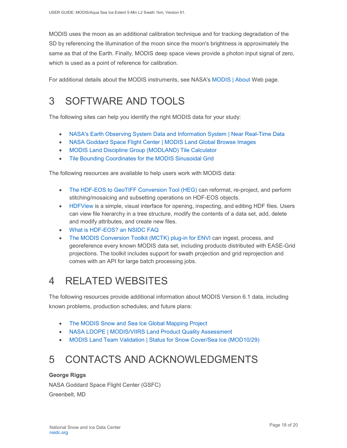MODIS uses the moon as an additional calibration technique and for tracking degradation of the SD by referencing the illumination of the moon since the moon's brightness is approximately the same as that of the Earth. Finally, MODIS deep space views provide a photon input signal of zero, which is used as a point of reference for calibration.

For additional details about the MODIS instruments, see NASA's [MODIS | About](http://modis.gsfc.nasa.gov/about/) Web page.

# <span id="page-18-0"></span>3 SOFTWARE AND TOOLS

The following sites can help you identify the right MODIS data for your study:

- [NASA's Earth Observing System Data and Information System | Near Real-Time Data](http://earthdata.nasa.gov/data/near-real-time-data/rapid-response)
- NASA [Goddard Space Flight Center | MODIS Land Global Browse Images](https://landweb.modaps.eosdis.nasa.gov/cgi-bin/browse/browseMODIS.cgi)
- [MODIS Land Discipline Group \(MODLAND\) Tile Calculator](http://landweb.nascom.nasa.gov/cgi-bin/developer/tilemap.cgi)
- [Tile Bounding Coordinates for the MODIS Sinusoidal Grid](http://modis-land.gsfc.nasa.gov/pdf/sn_bound_10deg.txt)

The following resources are available to help users work with MODIS data:

- [The HDF-EOS to GeoTIFF Conversion Tool \(HEG\)](https://wiki.earthdata.nasa.gov/display/DAS/HEG%3A++HDF-EOS+to+GeoTIFF+Conversion+Tool) can reformat, re-project, and perform stitching/mosaicing and subsetting operations on HDF-EOS objects.
- [HDFView](https://www.hdfgroup.org/downloads/hdfview/) is a simple, visual interface for opening, inspecting, and editing HDF files. Users can view file hierarchy in a tree structure, modify the contents of a data set, add, delete and modify attributes, and create new files.
- [What is HDF-EOS? an NSIDC FAQ](https://nsidc.org/support/faq/what-hdf-eos)
- [The MODIS Conversion Toolkit \(MCTK\) plug-in for ENVI](https://github.com/dawhite/MCTK) can ingest, process, and georeference every known MODIS data set, including products distributed with EASE-Grid projections. The toolkit includes support for swath projection and grid reprojection and comes with an API for large batch processing jobs.

## <span id="page-18-1"></span>4 RELATED WEBSITES

The following resources provide additional information about MODIS Version 6.1 data, including known problems, production schedules, and future plans:

- [The MODIS Snow and Sea Ice Global Mapping Project](http://modis-snow-ice.gsfc.nasa.gov/)
- [NASA LDOPE | MODIS/VIIRS Land Product Quality Assessment](https://landweb.modaps.eosdis.nasa.gov/cgi-bin/QS/new/index.cgi)
- [MODIS Land Team Validation | Status for Snow Cover/Sea Ice \(MOD10/29\)](https://modis-land.gsfc.nasa.gov/ValStatus.php?ProductID=MOD10/29)

# <span id="page-18-2"></span>5 CONTACTS AND ACKNOWLEDGMENTS

#### **George Riggs**

NASA Goddard Space Flight Center (GSFC) Greenbelt, MD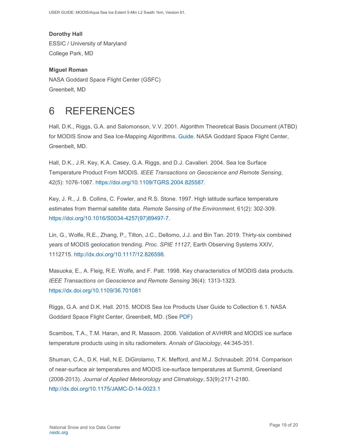USER GUIDE: MODIS/Aqua Sea Ice Extent 5-Min L2 Swath 1km, Version 61.

**Dorothy Hall**  ESSIC / University of Maryland College Park, MD

**Miguel Roman**  NASA Goddard Space Flight Center (GSFC) Greenbelt, MD

## <span id="page-19-0"></span>6 REFERENCES

Hall, D.K., Riggs, G.A. and Salomonson, V.V. 2001. Algorithm Theoretical Basis Document (ATBD) for MODIS Snow and Sea Ice-Mapping Algorithms. [Guide.](https://modis-snow-ice.gsfc.nasa.gov/?c=atbd) NASA Goddard Space Flight Center, Greenbelt, MD.

Hall, D.K., J.R. Key, K.A. Casey, G.A. Riggs, and D.J. Cavalieri. 2004. Sea Ice Surface Temperature Product From MODIS. *IEEE Transactions on Geoscience and Remote Sensing*, 42(5): 1076-1087. [https://doi.org/10.1109/TGRS.2004.825587.](https://doi.org/10.1109/TGRS.2004.825587)

Key, J. R., J. B. Collins, C. Fowler, and R.S. Stone. 1997. High latitude surface temperature estimates from thermal satellite data. *Remote Sensing of the Environment*, 61(2): 302-309. [https://doi.org/10.1016/S0034-4257\(97\)89497-7.](https://doi.org/10.1016/S0034-4257(97)89497-7)

Lin, G., Wolfe, R.E., Zhang, P., Tilton, J.C., Dellomo, J.J. and Bin Tan. 2019. Thirty-six combined years of MODIS geolocation trending. *Proc. SPIE 11127*, Earth Observing Systems XXIV, 1112715. [http://dx.doi.org/10.1117/12.826598.](http://dx.doi.org/10.1117/12.826598)

Masuoka, E., A. Fleig, R.E. Wolfe, and F. Patt. 1998. Key characteristics of MODIS data products. *IEEE Transactions on Geoscience and Remote Sensing* 36(4): 1313-1323. <https://dx.doi.org/10.1109/36.701081>

Riggs, G.A. and D.K. Hall. 2015. MODIS Sea Ice Products User Guide to Collection 6.1. NASA Goddard Space Flight Center, Greenbelt, MD. (See [PDF\)](https://nsidc.org/sites/nsidc.org/files/technical-references/MOD29_C61_UserGuide.pdf)

Scambos, T.A., T.M. Haran, and R. Massom. 2006. Validation of AVHRR and MODIS ice surface temperature products using in situ radiometers. *Annals of Glaciology*, 44:345-351.

Shuman, C.A., D.K. Hall, N.E. DiGirolamo, T.K. Mefford, and M.J. Schnaubelt. 2014. Comparison of near-surface air temperatures and MODIS ice-surface temperatures at Summit, Greenland (2008-2013). *Journal of Applied Meteorology and Climatology*, 53(9):2171-2180. <http://dx.doi.org/10.1175/JAMC-D-14-0023.1>